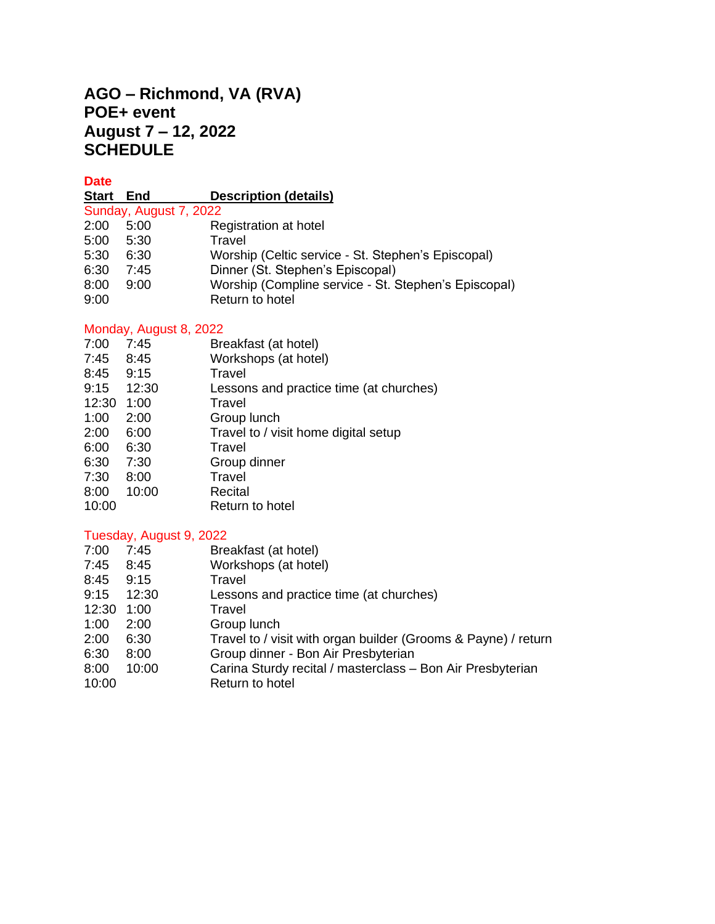# **AGO – Richmond, VA (RVA) POE+ event August 7 – 12, 2022 SCHEDULE**

**Date**

### **Start End Description (details)**

| Sunday, August 7, 2022 |      |                                                      |  |  |  |
|------------------------|------|------------------------------------------------------|--|--|--|
| 2:00                   | 5:00 | Registration at hotel                                |  |  |  |
| 5:00                   | 5:30 | Travel                                               |  |  |  |
| 5:30                   | 6:30 | Worship (Celtic service - St. Stephen's Episcopal)   |  |  |  |
| 6:30                   | 7:45 | Dinner (St. Stephen's Episcopal)                     |  |  |  |
| 8:00                   | 9:00 | Worship (Compline service - St. Stephen's Episcopal) |  |  |  |
| 9:00                   |      | Return to hotel                                      |  |  |  |

### Monday, August 8, 2022

| 7:00  | 7:45  | Breakfast (at hotel)                    |
|-------|-------|-----------------------------------------|
| 7:45  | 8:45  | Workshops (at hotel)                    |
| 8:45  | 9:15  | Travel                                  |
| 9:15  | 12:30 | Lessons and practice time (at churches) |
| 12:30 | 1:00  | Travel                                  |
| 1:00  | 2:00  | Group lunch                             |
| 2:00  | 6:00  | Travel to / visit home digital setup    |
| 6:00  | 6:30  | Travel                                  |
| 6:30  | 7:30  | Group dinner                            |
| 7:30  | 8:00  | Travel                                  |
| 8:00  | 10:00 | Recital                                 |
| 10:00 |       | Return to hotel                         |
|       |       |                                         |

## Tuesday, August 9, 2022

| 7:00  | 7:45  | Breakfast (at hotel)                                           |
|-------|-------|----------------------------------------------------------------|
| 7:45  | 8:45  | Workshops (at hotel)                                           |
| 8:45  | 9:15  | Travel                                                         |
| 9:15  | 12:30 | Lessons and practice time (at churches)                        |
| 12:30 | 1:00  | Travel                                                         |
| 1:00  | 2:00  | Group lunch                                                    |
| 2:00  | 6:30  | Travel to / visit with organ builder (Grooms & Payne) / return |
| 6:30  | 8:00  | Group dinner - Bon Air Presbyterian                            |
| 8:00  | 10:00 | Carina Sturdy recital / masterclass - Bon Air Presbyterian     |
| 10:00 |       | Return to hotel                                                |
|       |       |                                                                |